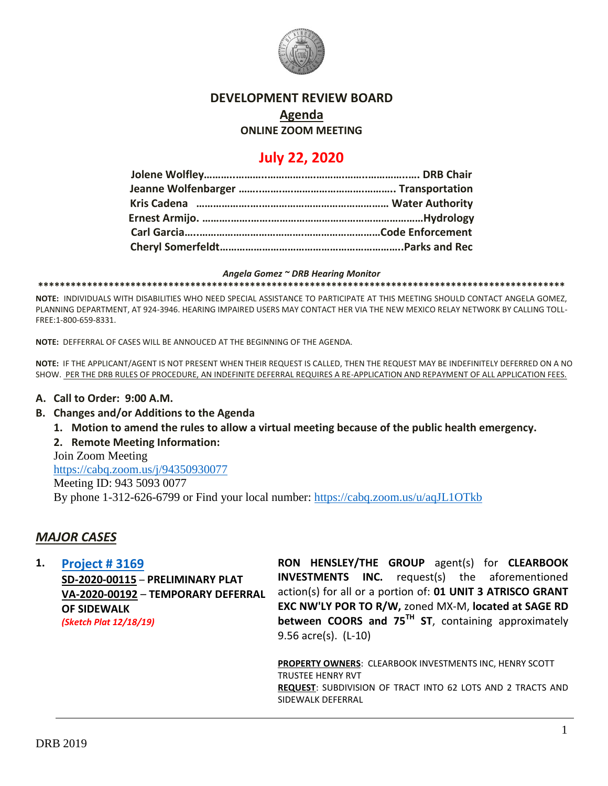

## **DEVELOPMENT REVIEW BOARD**

# **Agenda**

## **ONLINE ZOOM MEETING**

## **July 22, 2020**

#### *Angela Gomez ~ DRB Hearing Monitor*

**\*\*\*\*\*\*\*\*\*\*\*\*\*\*\*\*\*\*\*\*\*\*\*\*\*\*\*\*\*\*\*\*\*\*\*\*\*\*\*\*\*\*\*\*\*\*\*\*\*\*\*\*\*\*\*\*\*\*\*\*\*\*\*\*\*\*\*\*\*\*\*\*\*\*\*\*\*\*\*\*\*\*\*\*\*\*\*\*\*\*\*\*\*\*\*\*\***

**NOTE:** INDIVIDUALS WITH DISABILITIES WHO NEED SPECIAL ASSISTANCE TO PARTICIPATE AT THIS MEETING SHOULD CONTACT ANGELA GOMEZ, PLANNING DEPARTMENT, AT 924-3946. HEARING IMPAIRED USERS MAY CONTACT HER VIA THE NEW MEXICO RELAY NETWORK BY CALLING TOLL-FREE:1-800-659-8331.

**NOTE:** DEFFERRAL OF CASES WILL BE ANNOUCED AT THE BEGINNING OF THE AGENDA.

**NOTE:** IF THE APPLICANT/AGENT IS NOT PRESENT WHEN THEIR REQUEST IS CALLED, THEN THE REQUEST MAY BE INDEFINITELY DEFERRED ON A NO SHOW. PER THE DRB RULES OF PROCEDURE, AN INDEFINITE DEFERRAL REQUIRES A RE-APPLICATION AND REPAYMENT OF ALL APPLICATION FEES.

#### **A. Call to Order: 9:00 A.M.**

- **B. Changes and/or Additions to the Agenda**
	- **1. Motion to amend the rules to allow a virtual meeting because of the public health emergency.**
	- **2. Remote Meeting Information:**

Join Zoom Meeting

<https://cabq.zoom.us/j/94350930077> Meeting ID: 943 5093 0077 By phone 1-312-626-6799 or Find your local number:<https://cabq.zoom.us/u/aqJL1OTkb>

## *MAJOR CASES*

**1. [Project # 3169](http://data.cabq.gov/government/planning/DRB/PR-003169/DRB%20Submittals/PR-2020-003169_July_22_2020/Application/2019-003169%20Preliminary%20Plat%20Submittal.pdf)**

**SD-2020-00115** – **PRELIMINARY PLAT VA-2020-00192** – **TEMPORARY DEFERRAL OF SIDEWALK** *(Sketch Plat 12/18/19)*

**RON HENSLEY/THE GROUP** agent(s) for **CLEARBOOK INVESTMENTS INC.** request(s) the aforementioned action(s) for all or a portion of: **01 UNIT 3 ATRISCO GRANT EXC NW'LY POR TO R/W,** zoned MX-M, **located at SAGE RD between COORS and 75TH ST**, containing approximately 9.56 acre(s). (L-10)

**PROPERTY OWNERS**: CLEARBOOK INVESTMENTS INC, HENRY SCOTT TRUSTEE HENRY RVT **REQUEST**: SUBDIVISION OF TRACT INTO 62 LOTS AND 2 TRACTS AND SIDEWALK DEFERRAL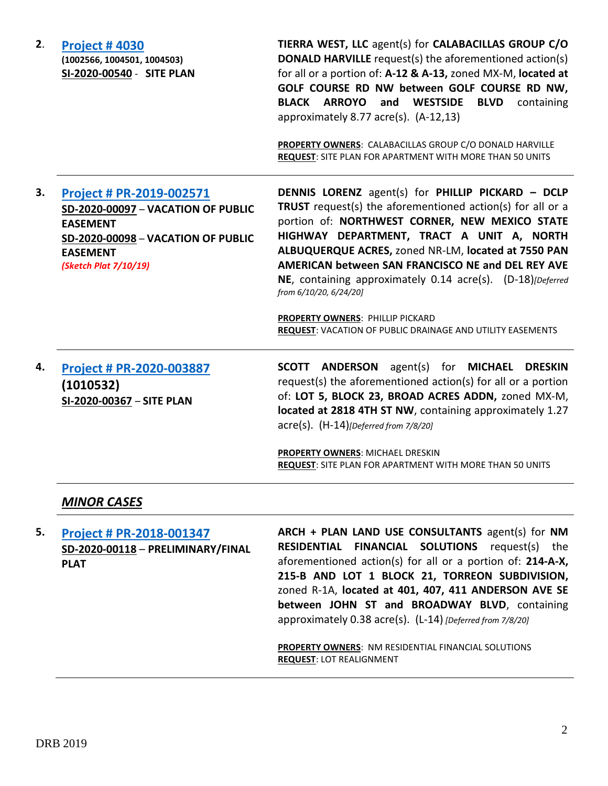| 2. | <b>Project #4030</b><br>(1002566, 1004501, 1004503)<br>SI-2020-00540 - SITE PLAN                                                                                           | TIERRA WEST, LLC agent(s) for CALABACILLAS GROUP C/O<br><b>DONALD HARVILLE</b> request(s) the aforementioned action(s)<br>for all or a portion of: A-12 & A-13, zoned MX-M, located at<br>GOLF COURSE RD NW between GOLF COURSE RD NW,<br>BLACK ARROYO and WESTSIDE<br><b>BLVD</b><br>containing<br>approximately 8.77 acre(s). $(A-12,13)$<br>PROPERTY OWNERS: CALABACILLAS GROUP C/O DONALD HARVILLE<br>REQUEST: SITE PLAN FOR APARTMENT WITH MORE THAN 50 UNITS                                                          |
|----|----------------------------------------------------------------------------------------------------------------------------------------------------------------------------|-----------------------------------------------------------------------------------------------------------------------------------------------------------------------------------------------------------------------------------------------------------------------------------------------------------------------------------------------------------------------------------------------------------------------------------------------------------------------------------------------------------------------------|
| 3. | Project # PR-2019-002571<br>SD-2020-00097 - VACATION OF PUBLIC<br><b>EASEMENT</b><br><b>SD-2020-00098 - VACATION OF PUBLIC</b><br><b>EASEMENT</b><br>(Sketch Plat 7/10/19) | <b>DENNIS LORENZ</b> agent(s) for PHILLIP PICKARD - DCLP<br>TRUST request(s) the aforementioned action(s) for all or a<br>portion of: NORTHWEST CORNER, NEW MEXICO STATE<br>HIGHWAY DEPARTMENT, TRACT A UNIT A, NORTH<br>ALBUQUERQUE ACRES, zoned NR-LM, located at 7550 PAN<br>AMERICAN between SAN FRANCISCO NE and DEL REY AVE<br>NE, containing approximately 0.14 acre(s). (D-18)[Deferred<br>from 6/10/20, 6/24/20]<br>PROPERTY OWNERS: PHILLIP PICKARD<br>REQUEST: VACATION OF PUBLIC DRAINAGE AND UTILITY EASEMENTS |
| 4. | Project # PR-2020-003887<br>(1010532)<br>SI-2020-00367 - SITE PLAN                                                                                                         | SCOTT ANDERSON<br>agent(s) for <b>MICHAEL</b><br><b>DRESKIN</b><br>request(s) the aforementioned action(s) for all or a portion<br>of: LOT 5, BLOCK 23, BROAD ACRES ADDN, zoned MX-M,<br>located at 2818 4TH ST NW, containing approximately 1.27<br>$\text{acre}(s)$ . $(H-14)$ [Deferred from 7/8/20]<br>PROPERTY OWNERS: MICHAEL DRESKIN<br>REQUEST: SITE PLAN FOR APARTMENT WITH MORE THAN 50 UNITS                                                                                                                     |
|    | <b>MINOR CASES</b>                                                                                                                                                         |                                                                                                                                                                                                                                                                                                                                                                                                                                                                                                                             |
| 5. | Project # PR-2018-001347<br>SD-2020-00118 - PRELIMINARY/FINAL<br><b>PLAT</b>                                                                                               | ARCH + PLAN LAND USE CONSULTANTS agent(s) for NM<br><b>FINANCIAL SOLUTIONS</b><br>request(s) the<br><b>RESIDENTIAL</b><br>aforementioned action(s) for all or a portion of: 214-A-X,<br>215-B AND LOT 1 BLOCK 21, TORREON SUBDIVISION,<br>zoned R-1A, located at 401, 407, 411 ANDERSON AVE SE<br>between JOHN ST and BROADWAY BLVD, containing<br>approximately 0.38 acre(s). (L-14) [Deferred from 7/8/20]                                                                                                                |

**PROPERTY OWNERS**: NM RESIDENTIAL FINANCIAL SOLUTIONS **REQUEST**: LOT REALIGNMENT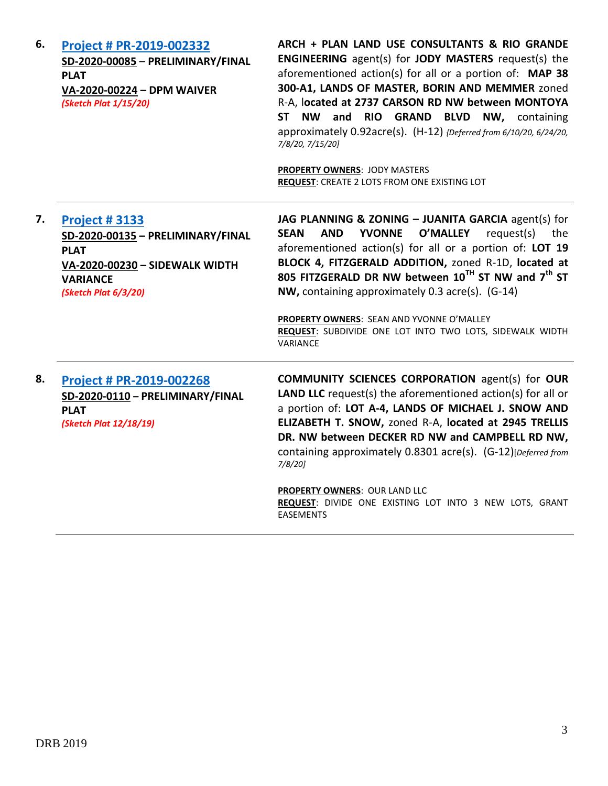| 6. | Project # PR-2019-002332<br>SD-2020-00085 - PRELIMINARY/FINAL<br><b>PLAT</b><br>VA-2020-00224 - DPM WAIVER<br>(Sketch Plat 1/15/20)                   | ARCH + PLAN LAND USE CONSULTANTS & RIO GRANDE<br><b>ENGINEERING</b> agent(s) for <b>JODY MASTERS</b> request(s) the<br>aforementioned action(s) for all or a portion of: MAP 38<br>300-A1, LANDS OF MASTER, BORIN AND MEMMER zoned<br>R-A, located at 2737 CARSON RD NW between MONTOYA<br>ST NW and<br><b>RIO GRAND</b><br><b>BLVD NW, containing</b><br>approximately 0.92acre(s). (H-12) {Deferred from 6/10/20, 6/24/20,<br>7/8/20, 7/15/20]<br><b>PROPERTY OWNERS: JODY MASTERS</b><br>REQUEST: CREATE 2 LOTS FROM ONE EXISTING LOT |
|----|-------------------------------------------------------------------------------------------------------------------------------------------------------|------------------------------------------------------------------------------------------------------------------------------------------------------------------------------------------------------------------------------------------------------------------------------------------------------------------------------------------------------------------------------------------------------------------------------------------------------------------------------------------------------------------------------------------|
| 7. | <b>Project #3133</b><br>SD-2020-00135 - PRELIMINARY/FINAL<br><b>PLAT</b><br>VA-2020-00230 - SIDEWALK WIDTH<br><b>VARIANCE</b><br>(Sketch Plat 6/3/20) | JAG PLANNING & ZONING - JUANITA GARCIA agent(s) for<br><b>SEAN</b><br><b>YVONNE</b><br><b>O'MALLEY</b><br>request(s)<br><b>AND</b><br>the<br>aforementioned action(s) for all or a portion of: LOT 19<br>BLOCK 4, FITZGERALD ADDITION, zoned R-1D, located at<br>805 FITZGERALD DR NW between 10 <sup>TH</sup> ST NW and 7 <sup>th</sup> ST<br>NW, containing approximately 0.3 acre(s). (G-14)<br>PROPERTY OWNERS: SEAN AND YVONNE O'MALLEY<br>REQUEST: SUBDIVIDE ONE LOT INTO TWO LOTS, SIDEWALK WIDTH<br>VARIANCE                     |
| 8. | Project # PR-2019-002268<br>SD-2020-0110 - PRELIMINARY/FINAL<br><b>PLAT</b><br>(Sketch Plat 12/18/19)                                                 | <b>COMMUNITY SCIENCES CORPORATION agent(s) for OUR</b><br><b>LAND LLC</b> request(s) the aforementioned action(s) for all or<br>a portion of: LOT A-4, LANDS OF MICHAEL J. SNOW AND<br>ELIZABETH T. SNOW, zoned R-A, located at 2945 TRELLIS<br>DR. NW between DECKER RD NW and CAMPBELL RD NW,<br>containing approximately 0.8301 acre(s). (G-12)[Deferred from<br>7/8/20                                                                                                                                                               |
|    |                                                                                                                                                       | <b>PROPERTY OWNERS: OUR LAND LLC</b><br>REQUEST: DIVIDE ONE EXISTING LOT INTO 3 NEW LOTS, GRANT<br><b>EASEMENTS</b>                                                                                                                                                                                                                                                                                                                                                                                                                      |